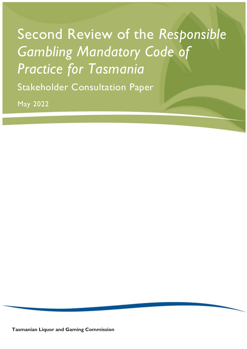# Second Review of the *Responsible Gambling Mandatory Code of Practice for Tasmania*

Stakeholder Consultation Paper

May 2022

**Tasmanian Liquor and Gaming Commission**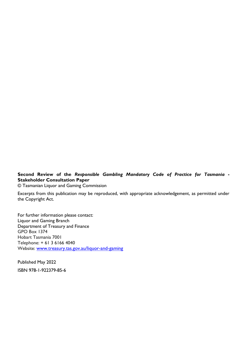**Second Review of the** *Responsible Gambling Mandatory Code of Practice for Tasmania* **- Stakeholder Consultation Paper**

© Tasmanian Liquor and Gaming Commission

Excerpts from this publication may be reproduced, with appropriate acknowledgement, as permitted under the Copyright Act.

For further information please contact: Liquor and Gaming Branch Department of Treasury and Finance GPO Box 1374 Hobart Tasmania 7001 Telephone: + 61 3 6166 4040 Website: [www.treasury.tas.gov.au/liquor-and-gaming](https://www.treasury.tas.gov.au/liquor-and-gaming)

Published May 2022 ISBN 978-1-922379-85-6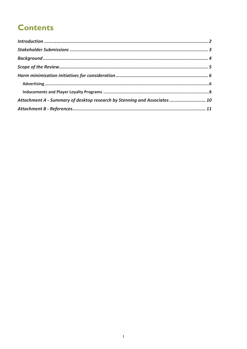# **Contents**

| Attachment A - Summary of desktop research by Stenning and Associates  10 |  |
|---------------------------------------------------------------------------|--|
|                                                                           |  |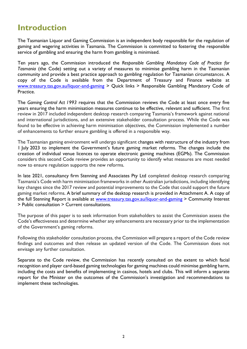### <span id="page-3-0"></span>**Introduction**

The Tasmanian Liquor and Gaming Commission is an independent body responsible for the regulation of gaming and wagering activities in Tasmania. The Commission is committed to fostering the responsible service of gambling and ensuring the harm from gambling is minimised.

Ten years ago, the Commission introduced the *Responsible Gambling Mandatory Code of Practice for Tasmania* (the Code) setting out a variety of measures to minimise gambling harm in the Tasmanian community and provide a best practice approach to gambling regulation for Tasmanian circumstances. A copy of the Code is available from the Department of Treasury and Finance website at [www.treasury.tas.gov.au/liquor-and-gaming](https://www.treasury.tas.gov.au/liquor-and-gaming/gambling/regulatory-requirements/mandatory-code-of-practice) > Quick links > Responsible Gambling Mandatory Code of Practice.

The *Gaming Control Act 1993* requires that the Commission reviews the Code at least once every five years ensuring the harm minimisation measures continue to be effective, relevant and sufficient. The first review in 2017 included independent desktop research comparing Tasmania's framework against national and international jurisdictions, and an extensive stakeholder consultation process. While the Code was found to be effective in achieving harm minimisation objectives, the Commission implemented a number of enhancements to further ensure gambling is offered in a responsible way.

The Tasmanian gaming environment will undergo significant changes with restructure of the industry from 1 July 2023 to implement the Government's future gaming market reforms. The changes include the creation of individual venue licences to operate electronic gaming machines (EGMs). The Commission considers this second Code review provides an opportunity to identify what measures are most needed now to ensure regulation supports the new reforms.

In late 2021, consultancy firm Stenning and Associates Pty Ltd completed desktop research comparing Tasmania's Code with harm minimisation frameworks in other Australian jurisdictions, including identifying key changes since the 2017 review and potential improvements to the Code that could support the future gaming market reforms. A brief summary of the desktop research is provided in Attachment A. A copy of the full Stenning Report is available at [www.treasury.tas.gov.au/liquor-and-gaming](https://www.treasury.tas.gov.au/liquor-and-gaming/community-interest/public-consultation) > Community Interest > Public consultation > Current consultations.

The purpose of this paper is to seek information from stakeholders to assist the Commission assess the Code's effectiveness and determine whether any enhancements are necessary prior to the implementation of the Government's gaming reforms.

Following this stakeholder consultation process, the Commission will prepare a report of the Code review findings and outcomes and then release an updated version of the Code. The Commission does not envisage any further consultation.

Separate to the Code review, the Commission has recently consulted on the extent to which facial recognition and player card-based gaming technologies for gaming machines could minimise gambling harm, including the costs and benefits of implementing in casinos, hotels and clubs. This will inform a separate report for the Minister on the outcomes of the Commission's investigation and recommendations to implement these technologies.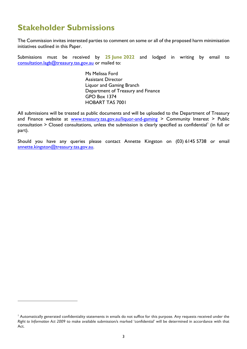# <span id="page-4-0"></span>**Stakeholder Submissions**

l

The Commission invites interested parties to comment on some or all of the proposed harm minimisation initiatives outlined in this Paper.

Submissions must be received by **25 June 2022** and lodged in writing by email to [consultation.lagb@treasury.tas.gov.au](mailto:consultation.lagb@treasury.tas.gov.au) or mailed to:

> Ms Melissa Ford Assistant Director Liquor and Gaming Branch Department of Treasury and Finance GPO Box 1374 HOBART TAS 7001

All submissions will be treated as public documents and will be uploaded to the Department of Treasury and Finance website at [www.treasury.tas.gov.au/liquor-and-gaming](https://www.treasury.tas.gov.au/liquor-and-gaming/community-interest/public-consultation) > Community Interest > Public consultation  $\geq$  Closed consultations, unless the submission is clearly specified as confidential<sup>1</sup> (in full or part).

Should you have any queries please contact Annette Kingston on (03) 6145 5738 or email [annette.kingston@treasury.tas.gov.au.](mailto:annette.kingston@treasury.tas.gov.au)

<sup>1</sup> Automatically generated confidentiality statements in emails do not suffice for this purpose. Any requests received under the *Right to Information Act 2009* to make available submission/s marked 'confidential' will be determined in accordance with that Act.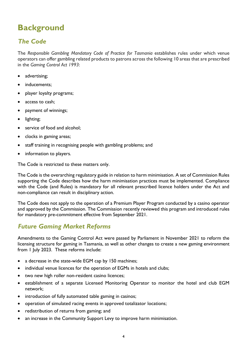# <span id="page-5-0"></span>**Background**

### *The Code*

The *Responsible Gambling Mandatory Code of Practice for Tasmania* establishes rules under which venue operators can offer gambling related products to patrons across the following 10 areas that are prescribed in the *Gaming Control Act 1993*:

- advertising;
- inducements:
- player loyalty programs;
- access to cash;
- payment of winnings;
- lighting;
- service of food and alcohol;
- clocks in gaming areas;
- staff training in recognising people with gambling problems; and
- information to players.

The Code is restricted to these matters only.

The Code is the overarching regulatory guide in relation to harm minimisation. A set of Commission Rules supporting the Code describes how the harm minimisation practices must be implemented. Compliance with the Code (and Rules) is mandatory for all relevant prescribed licence holders under the Act and non-compliance can result in disciplinary action.

The Code does not apply to the operation of a Premium Player Program conducted by a casino operator and approved by the Commission. The Commission recently reviewed this program and introduced rules for mandatory pre-commitment effective from September 2021.

### *Future Gaming Market Reforms*

Amendments to the Gaming Control Act were passed by Parliament in November 2021 to reform the licensing structure for gaming in Tasmania, as well as other changes to create a new gaming environment from 1 July 2023. These reforms include:

- a decrease in the state-wide EGM cap by 150 machines;
- individual venue licences for the operation of EGMs in hotels and clubs;
- two new high roller non-resident casino licences;
- establishment of a separate Licensed Monitoring Operator to monitor the hotel and club EGM network;
- introduction of fully automated table gaming in casinos;
- operation of simulated racing events in approved totalizator locations;
- redistribution of returns from gaming; and
- an increase in the Community Support Levy to improve harm minimisation.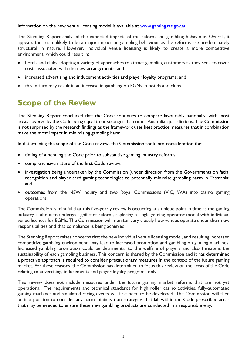Information on the new venue licensing model is available at [www.gaming.tas.gov.au.](http://www.gaming.tas.gov.au/)

The Stenning Report analysed the expected impacts of the reforms on gambling behaviour. Overall, it appears there is unlikely to be a major impact on gambling behaviour as the reforms are predominately structural in nature. However, individual venue licensing is likely to create a more competitive environment, which could result in:

- hotels and clubs adopting a variety of approaches to attract gambling customers as they seek to cover costs associated with the new arrangements; and
- increased advertising and inducement activities and player loyalty programs; and
- this in turn may result in an increase in gambling on EGMs in hotels and clubs.

# <span id="page-6-0"></span>**Scope of the Review**

The Stenning Report concluded that the Code continues to compare favourably nationally, with most areas covered by the Code being equal to or stronger than other Australian jurisdictions. The Commission is not surprised by the research findings as the framework uses best practice measures that in combination make the most impact in minimising gambling harm.

In determining the scope of the Code review, the Commission took into consideration the:

- timing of amending the Code prior to substantive gaming industry reforms;
- comprehensive nature of the first Code review;
- investigation being undertaken by the Commission (under direction from the Government) on facial recognition and player card gaming technologies to potentially minimise gambling harm in Tasmania; and
- outcomes from the NSW inquiry and two Royal Commissions (VIC, WA) into casino gaming operations.

The Commission is mindful that this five-yearly review is occurring at a unique point in time as the gaming industry is about to undergo significant reform, replacing a single gaming operator model with individual venue licences for EGMs. The Commission will monitor very closely how venues operate under their new responsibilities and that compliance is being achieved.

The Stenning Report raises concerns that the new individual venue licensing model, and resulting increased competitive gambling environment, may lead to increased promotion and gambling on gaming machines. Increased gambling promotion could be detrimental to the welfare of players and also threatens the sustainability of each gambling business. This concern is shared by the Commission and it has determined a proactive approach is required to consider precautionary measures in the context of the future gaming market. For these reasons, the Commission has determined to focus this review on the areas of the Code relating to advertising, inducements and player loyalty programs only.

This review does not include measures under the future gaming market reforms that are not yet operational. The requirements and technical standards for high roller casino activities, fully-automated gaming machines and simulated racing events will first need to be developed. The Commission will then be in a position to consider any harm minimisation strategies that fall within the Code prescribed areas that may be needed to ensure these new gambling products are conducted in a responsible way.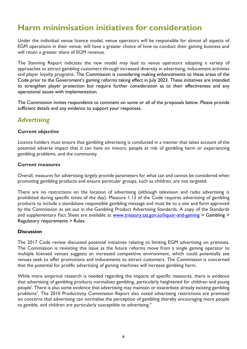## <span id="page-7-0"></span>**Harm minimisation initiatives for consideration**

Under the individual venue licence model, venue operators will be responsible for almost all aspects of EGM operations in their venue, will have a greater choice of how to conduct their gaming business and will retain a greater share of EGM revenue.

The Stenning Report indicates the new model may lead to venue operators adopting a variety of approaches to attract gambling customers through increased diversity in advertising, inducement activities and player loyalty programs. The Commission is considering making enhancements to these areas of the Code prior to the Government's gaming reforms taking effect in July 2023. These initiatives are intended to strengthen player protection but require further consideration as to their effectiveness and any operational issues with implementation.

The Commission invites respondents to comment on some or all of the proposals below. Please provide sufficient details and any evidence to support your responses.

### <span id="page-7-1"></span>*Advertising*

#### **Current objective**

Licence holders must ensure that gambling advertising is conducted in a manner that takes account of the potential adverse impact that it can have on minors, people at risk of gambling harm or experiencing gambling problems, and the community*.*

#### **Current measures**

Overall, measures for advertising largely provide parameters for what can and cannot be considered when promoting gambling products and ensure particular groups, such as children, are not targeted.

There are no restrictions on the location of advertising (although television and radio advertising is prohibited during specific times of the day). Measure 1.13 of the Code requires advertising of gambling products to include a standalone responsible gambling message and must be to a size and form approved by the Commission as set out in the Gambling Product Advertising Standards. A copy of the Standards and supplementary Fact Sheet are available at [www.treasury.tas.gov.au/liquor-and-gaming](https://www.treasury.tas.gov.au/liquor-and-gaming/gambling/regulatory-requirements/rules) > Gambling > Regulatory requirements > Rules.

#### **Discussion**

The 2017 Code review discussed potential initiatives relating to limiting EGM advertising on premises. The Commission is revisiting this issue as the future reforms move from a single gaming operator to multiple licensed venues suggests an increased competitive environment, which could potentially see venues seek to offer promotions and inducements to attract customers. The Commission is concerned that the potential for prolific advertising of gaming machines will increase gambling harm.

While more empirical research is needed regarding the impacts of specific measures, there is evidence that advertising of gambling products normalises gambling, particularly heightened for children and young people<sup>i</sup>. There is also some evidence that advertising may maintain or exacerbate already existing gambling problems<sup>ii</sup>. The 2010 Productivity Commission Report also noted advertising restrictions are premised on concerns that advertising can normalise the perception of gambling thereby encouraging more people to gamble, and children are particularly susceptible to advertising.<sup>iii</sup>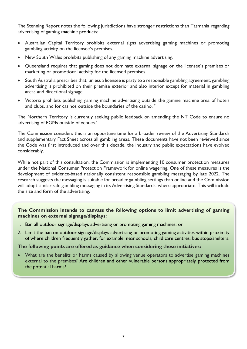The Stenning Report notes the following jurisdictions have stronger restrictions than Tasmania regarding advertising of gaming machine products:

- Australian Capital Territory prohibits external signs advertising gaming machines or promoting gambling activity on the licensee's premises.
- New South Wales prohibits publishing of any gaming machine advertising.
- Queensland requires that gaming does not dominate external signage on the licensee's premises or marketing or promotional activity for the licensed premises.
- South Australia prescribes that, unless a licensee is party to a responsible gambling agreement, gambling advertising is prohibited on their premise exterior and also interior except for material in gambling areas and directional signage.
- Victoria prohibits publishing gaming machine advertising outside the gamine machine area of hotels and clubs, and for casinos outside the boundaries of the casino.<sup>iv</sup>

The Northern Territory is currently seeking public feedback on amending the NT Code to ensure no advertising of EGMs outside of venues.<sup>v</sup>

The Commission considers this is an opportune time for a broader review of the Advertising Standards and supplementary Fact Sheet across all gambling areas. These documents have not been reviewed since the Code was first introduced and over this decade, the industry and public expectations have evolved considerably.

While not part of this consultation, the Commission is implementing 10 consumer protection measures under the National Consumer Protection Framework for online wagering. One of these measures is the development of evidence-based nationally consistent responsible gambling messaging by late 2022. The research suggests the messaging is suitable for broader gambling settings than online and the Commission will adopt similar safe gambling messaging in its Advertising Standards, where appropriate. This will include the size and form of the advertising.

#### **The Commission intends to canvass the following options to limit advertising of gaming machines on external signage/displays:**

- 1. Ban all outdoor signage/displays advertising or promoting gaming machines; or
- 2. Limit the ban on outdoor signage/displays advertising or promoting gaming activities within proximity of where children frequently gather, for example, near schools, child care centres, bus stops/shelters.

#### **The following points are offered as guidance when considering these initiatives:**

 What are the benefits or harms caused by allowing venue operators to advertise gaming machines external to the premises? Are children and other vulnerable persons appropriately protected from the potential harms?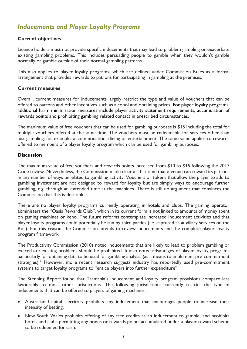### <span id="page-9-0"></span>*Inducements and Player Loyalty Programs*

#### **Current objectives**

Licence holders must not provide specific inducements that may lead to problem gambling or exacerbate existing gambling problems. This includes persuading people to gamble when they wouldn't gamble normally or gamble outside of their normal gambling patterns.

This also applies to player loyalty programs, which are defined under Commission Rules as a formal arrangement that provides rewards to patrons for participating in gambling at the premises.

#### **Current measures**

Overall, current measures for inducements largely restrict the type and value of vouchers that can be offered to patrons and other incentives such as alcohol and obtaining prizes. For player loyalty programs, additional harm minimisation measures include player activity statement requirements, accumulation of rewards points and prohibiting gambling related contact in prescribed circumstances.

The maximum value of free vouchers that can be used for gambling purposes is \$15 including the total for multiple vouchers offered at the same time. The vouchers must be redeemable for services other than just gambling, for example, accommodation, dining or entertainment. The same value applies to rewards offered to members of a player loyalty program which can be used for gambling purposes.

#### **Discussion**

The maximum value of free vouchers and rewards points increased from \$10 to \$15 following the 2017 Code review. Nevertheless, the Commission made clear at that time that a venue can reward its patrons in any number of ways unrelated to gambling activity. Vouchers or tokens that allow the player to add to gambling investment are not designed to reward for loyalty but are simply ways to encourage further gambling, e.g. through an extended time at the machines. There is still no argument that convinces the Commission that this is desirable.

There are no player loyalty programs currently operating in hotels and clubs. The gaming operator administers the "Oasis Rewards Club", which in its current form is not linked to amounts of money spent on gaming machines or keno. The future reforms contemplate increased inducement activities and that player loyalty programs could potentially be run by third parties (i.e. captured as auxiliary services on the Roll). For this reason, the Commission intends to review inducements and the complete player loyalty program framework.

The Productivity Commission (2010) noted inducements that are likely to lead to problem gambling or exacerbate existing problems should be prohibited. It also noted advantages of player loyalty programs particularly for obtaining data to be used for gambling analysis (as a means to implement pre-commitment strategies).<sup>iii</sup> However, more recent research suggests industry has reportedly used pre-commitment systems to target loyalty programs to "entice players into further expenditure".

The Stenning Report found that Tasmania's inducement and loyalty program provisions compare less favourably to most other jurisdictions. The following jurisdictions currently restrict the type of inducements that can be offered to players of gaming machines:

- Australian Capital Territory prohibits any inducement that encourages people to increase their intensity of betting.
- New South Wales prohibits offering of any free credits as an inducement to gamble, and prohibits hotels and clubs permitting any bonus or rewards points accumulated under a player reward scheme to be redeemed for cash.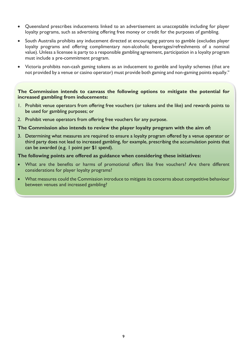- Queensland prescribes inducements linked to an advertisement as unacceptable including for player loyalty programs, such as advertising offering free money or credit for the purposes of gambling.
- South Australia prohibits any inducement directed at encouraging patrons to gamble (excludes player loyalty programs and offering complimentary non-alcoholic beverages/refreshments of a nominal value). Unless a licensee is party to a responsible gambling agreement, participation in a loyalty program must include a pre-commitment program.
- Victoria prohibits non-cash gaming tokens as an inducement to gamble and loyalty schemes (that are not provided by a venue or casino operator) must provide both gaming and non-gaming points equally. $^{\rm h}$

#### **The Commission intends to canvass the following options to mitigate the potential for increased gambling from inducements:**

- 1. Prohibit venue operators from offering free vouchers (or tokens and the like) and rewards points to be used for gambling purposes; or
- 2. Prohibit venue operators from offering free vouchers for any purpose.

#### **The Commission also intends to review the player loyalty program with the aim of:**

3. Determining what measures are required to ensure a loyalty program offered by a venue operator or third party does not lead to increased gambling, for example, prescribing the accumulation points that can be awarded (e.g. 1 point per \$1 spend).

#### **The following points are offered as guidance when considering these initiatives:**

- What are the benefits or harms of promotional offers like free vouchers? Are there different considerations for player loyalty programs?
- What measures could the Commission introduce to mitigate its concerns about competitive behaviour between venues and increased gambling?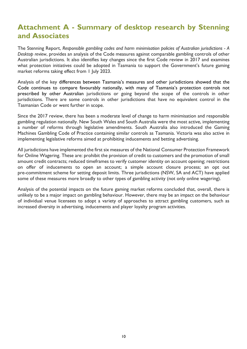### <span id="page-11-0"></span>**Attachment A - Summary of desktop research by Stenning and Associates**

The Stenning Report, *Responsible gambling codes and harm minimisation policies of Australian jurisdictions - A Desktop review*, provides an analysis of the Code measures against comparable gambling controls of other Australian jurisdictions. It also identifies key changes since the first Code review in 2017 and examines what protection initiatives could be adopted in Tasmania to support the Government's future gaming market reforms taking effect from 1 July 2023.

Analysis of the key differences between Tasmania's measures and other jurisdictions showed that the Code continues to compare favourably nationally, with many of Tasmania's protection controls not prescribed by other Australian jurisdictions or going beyond the scope of the controls in other jurisdictions. There are some controls in other jurisdictions that have no equivalent control in the Tasmanian Code or went further in scope.

Since the 2017 review, there has been a moderate level of change to harm minimisation and responsible gambling regulation nationally. New South Wales and South Australia were the most active, implementing a number of reforms through legislative amendments. South Australia also introduced the Gaming Machines Gambling Code of Practice containing similar controls as Tasmania. Victoria was also active in implementing legislative reforms aimed at prohibiting inducements and betting advertising.

All jurisdictions have implemented the first six measures of the National Consumer Protection Framework for Online Wagering. These are: prohibit the provision of credit to customers and the promotion of small amount credit contracts; reduced timeframes to verify customer identity on account opening; restrictions on offer of inducements to open an account; a simple account closure process; an opt out pre-commitment scheme for setting deposit limits. Three jurisdictions (NSW, SA and ACT) have applied some of these measures more broadly to other types of gambling activity (not only online wagering).

Analysis of the potential impacts on the future gaming market reforms concluded that, overall, there is unlikely to be a major impact on gambling behaviour. However, there may be an impact on the behaviour of individual venue licensees to adopt a variety of approaches to attract gambling customers, such as increased diversity in advertising, inducements and player loyalty program activities.